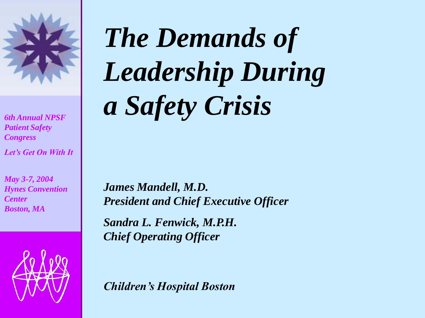

*6th Annual NPSF Patient Safety Congress*

*Let's Get On With It* 

*May 3-7, 2004 Hynes Convention Center Boston, MA*



# **The Demands of** *Leadership During a Safety Crisis*

*James Mandell, M.D. President and Chief Executive Officer* 

*Sandra L. Fenwick, M.P.H. Chief Operating Officer* 

*Children's Hospital Boston*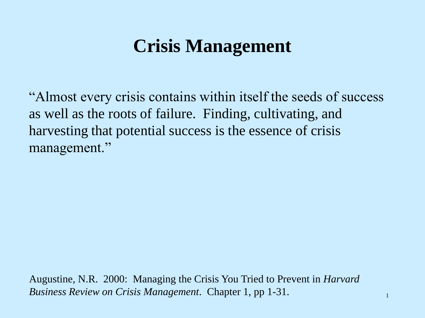### **Crisis Management**

"Almost every crisis contains within itself the seeds of success as well as the roots of failure. Finding, cultivating, and harvesting that potential success is the essence of crisis management."

Augustine, N.R. 2000: Managing the Crisis You Tried to Prevent in *Harvard Business Review on Crisis Management*. Chapter 1, pp 1-31.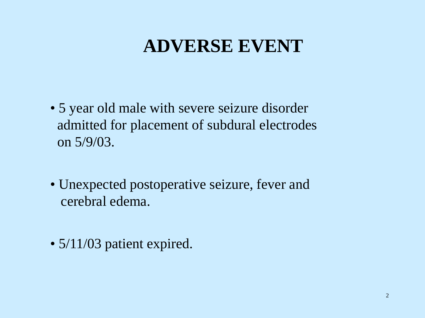### **ADVERSE EVENT**

- 5 year old male with severe seizure disorder admitted for placement of subdural electrodes on 5/9/03.
- Unexpected postoperative seizure, fever and cerebral edema.
- 5/11/03 patient expired.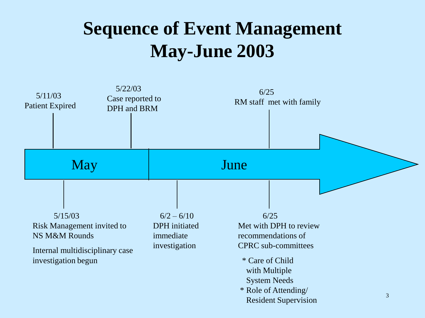### **Sequence of Event Management May-June 2003**

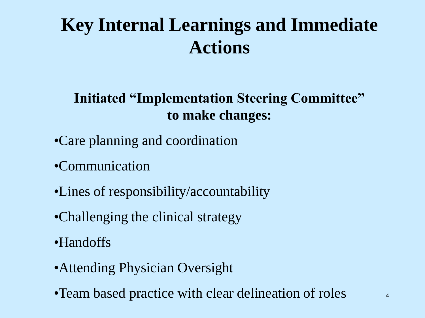## **Key Internal Learnings and Immediate Actions**

### **Initiated "Implementation Steering Committee" to make changes:**

- •Care planning and coordination
- •Communication
- •Lines of responsibility/accountability
- •Challenging the clinical strategy
- •Handoffs
- •Attending Physician Oversight
- •Team based practice with clear delineation of roles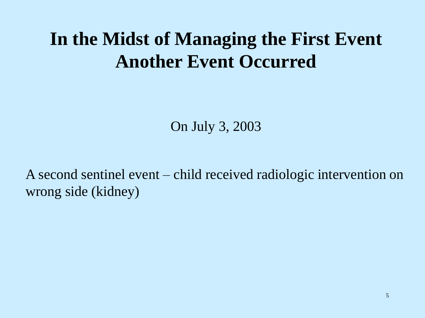### **In the Midst of Managing the First Event Another Event Occurred**

On July 3, 2003

A second sentinel event – child received radiologic intervention on wrong side (kidney)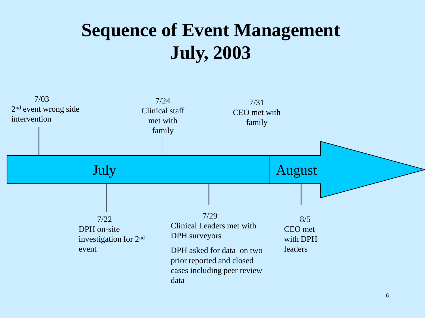### **Sequence of Event Management July, 2003**

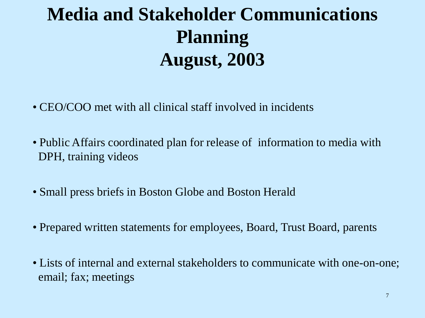## **Media and Stakeholder Communications Planning August, 2003**

- CEO/COO met with all clinical staff involved in incidents
- Public Affairs coordinated plan for release of information to media with DPH, training videos
- Small press briefs in Boston Globe and Boston Herald
- Prepared written statements for employees, Board, Trust Board, parents
- Lists of internal and external stakeholders to communicate with one-on-one; email; fax; meetings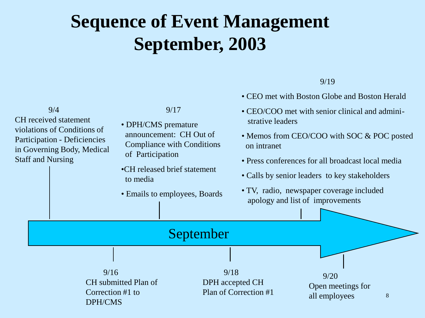## **Sequence of Event Management September, 2003**

|                                                                                                  |  |                                                                                                                              |                                          |                                                                                                                                                                                                                                                 | 9/19                                                               |  |  |
|--------------------------------------------------------------------------------------------------|--|------------------------------------------------------------------------------------------------------------------------------|------------------------------------------|-------------------------------------------------------------------------------------------------------------------------------------------------------------------------------------------------------------------------------------------------|--------------------------------------------------------------------|--|--|
|                                                                                                  |  |                                                                                                                              |                                          |                                                                                                                                                                                                                                                 | • CEO met with Boston Globe and Boston Herald                      |  |  |
| 9/4<br><b>CH</b> received statement                                                              |  | • DPH/CMS premature                                                                                                          | 9/17                                     |                                                                                                                                                                                                                                                 | • CEO/COO met with senior clinical and admini-<br>strative leaders |  |  |
| violations of Conditions of<br><b>Participation - Deficiencies</b><br>in Governing Body, Medical |  | announcement: CH Out of<br><b>Compliance with Conditions</b><br>of Participation<br>•CH released brief statement<br>to media |                                          | • Memos from CEO/COO with SOC & POC posted<br>on intranet<br>• Press conferences for all broadcast local media<br>• Calls by senior leaders to key stakeholders<br>• TV, radio, newspaper coverage included<br>apology and list of improvements |                                                                    |  |  |
| <b>Staff and Nursing</b>                                                                         |  |                                                                                                                              |                                          |                                                                                                                                                                                                                                                 |                                                                    |  |  |
|                                                                                                  |  |                                                                                                                              |                                          |                                                                                                                                                                                                                                                 |                                                                    |  |  |
|                                                                                                  |  |                                                                                                                              | • Emails to employees, Boards            |                                                                                                                                                                                                                                                 |                                                                    |  |  |
|                                                                                                  |  |                                                                                                                              | September                                |                                                                                                                                                                                                                                                 |                                                                    |  |  |
|                                                                                                  |  |                                                                                                                              |                                          |                                                                                                                                                                                                                                                 |                                                                    |  |  |
| 9/16<br>CH submitted Plan of<br>Correction #1 to<br>DPH/CMS                                      |  | 9/18                                                                                                                         | DPH accepted CH<br>Plan of Correction #1 | 9/20<br>Open meetings for<br>all employees                                                                                                                                                                                                      | 8                                                                  |  |  |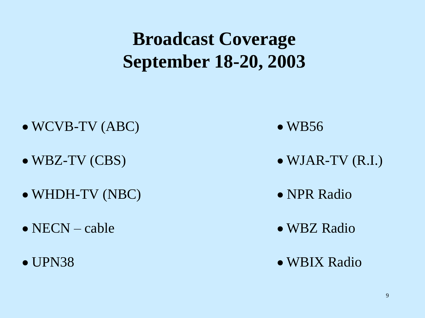### **Broadcast Coverage September 18-20, 2003**

- $\bullet$  WCVB-TV (ABC)  $\bullet$  WB56
- 
- WHDH-TV (NBC) NPR Radio
- NECN cable WBZ Radio
- 
- 
- $\bullet$  WBZ-TV (CBS)  $\bullet$  WJAR-TV (R.I.)
	-
	-
- UPN38 WBIX Radio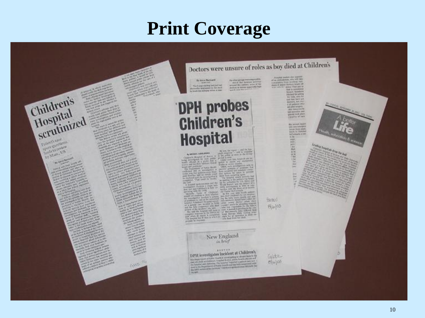### **Print Coverage**

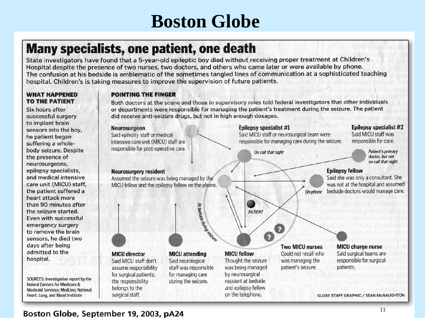### **Boston Globe**

### **Many specialists, one patient, one death**

State investigators have found that a 5-year-old epileptic boy died without receiving proper treatment at Children's Hospital despite the presence of two nurses, two doctors, and others who came later or were available by phone. The confusion at his bedside is emblematic of the sometimes tangled lines of communication at a sophisticated teaching hospital. Children's is taking measures to improve the supervision of future patients.

#### **WHAT HAPPENED TO THE PATIENT**

Six hours after successful surgery to implant brain sensors into the boy, he patient began suffering a wholebody seizure. Despite the presence of neurosurgeons, epilepsy specialists, and medical intensive care unit (MICU) staff, the patient suffered a heart attack more than 90 minutes after the seizure started. Even with successful emergency surgery to remove the brain sensors, he died two days after being admitted to the hospital.

SOURCES: Investigation report by the federal Centers for Medicare & Medicaid Services; MedLine; National Heart, Lung, and Blood Institute

#### **POINTING THE FINGER**

Both doctors at the scene and those in supervisory roles told federal investigators that other individuals or departments were responsible for managing the patient's treatment during the seizure. The patient did receive anti-seizure drugs, but not in high enough dosages.

**Epilepsy specialist #1** 

On call that night

Said MICU staff or neurosurgical team were

Q

Q

responsible for managing care during the seizure.

#### Neurosurgeon

Said epilepsy staff or medical intensive care unit (MICU) staff are responsible for post-operative care.

#### **Neurosurgery resident**

Assumed the seizure was being managed by the MICU fellow and the epilepsy fellow on the phone.



#### **MICU director** Said MICU staff don't assume responsibility for surgical patients; the responsibility belongs to the surgical staff.

**MICU** attending Said neurological staff was responsible for managing care during the seizure.

### **MICU fellow** Thought the seizure by neurosurgical

was being managed resident at bedside and epilepsy fellow on the telephone.

**PATIENT** 

#### **Two MICU nurses** Could not recall who was managing the patient's seizure.

On phone

MICU charge nurse Said surgical teams are responsible for surgical patients.

**GLOBE STAFF GRAPHIC / SEAN MCNAUGHTON** 

### **Epilepsy specialist #2**

Said MICU staff was responsible for care.

> **Patient's primary** doctor, but not on call that night

### **Epilepsy fellow**

Said she was only a consultant. She was not at the hospital and assumed bedside doctors would manage care.

Boston Globe, September 19, 2003, pA24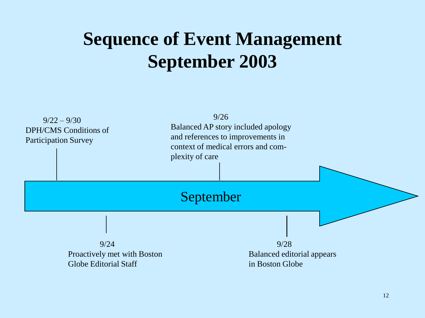### **Sequence of Event Management September 2003**

 $9/22 - 9/30$ DPH/CMS Conditions of Participation Survey

9/26 Balanced AP story included apology and references to improvements in context of medical errors and complexity of care

### September

9/24 Proactively met with Boston Globe Editorial Staff

9/28 Balanced editorial appears in Boston Globe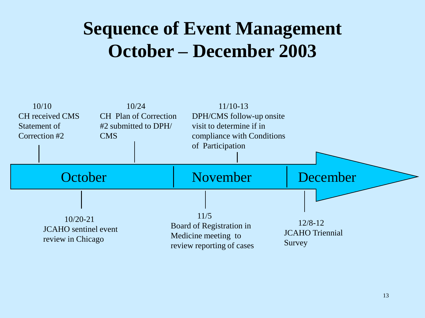### **Sequence of Event Management October – December 2003**

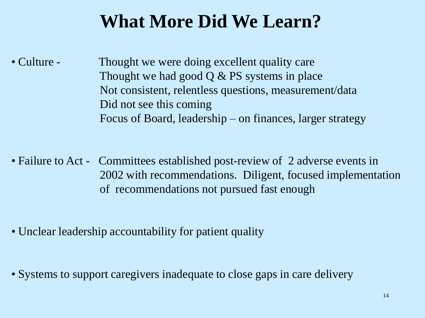### **What More Did We Learn?**

• Culture - Thought we were doing excellent quality care Thought we had good  $Q & PS$  systems in place Not consistent, relentless questions, measurement/data Did not see this coming Focus of Board, leadership – on finances, larger strategy

• Failure to Act - Committees established post-review of 2 adverse events in 2002 with recommendations. Diligent, focused implementation of recommendations not pursued fast enough

- Unclear leadership accountability for patient quality
- Systems to support caregivers inadequate to close gaps in care delivery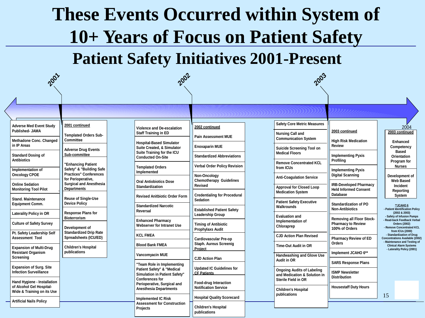## **These Events Occurred within System of 10+ Years of Focus on Patient Safety**

**Patient Safety Initiatives 2001-Present**

| 2001                                                            |                                                                                 | 2002                                                                                             |                                                                 | 2003                                                    |                                                                          |                                                                                           |
|-----------------------------------------------------------------|---------------------------------------------------------------------------------|--------------------------------------------------------------------------------------------------|-----------------------------------------------------------------|---------------------------------------------------------|--------------------------------------------------------------------------|-------------------------------------------------------------------------------------------|
|                                                                 |                                                                                 |                                                                                                  |                                                                 |                                                         |                                                                          |                                                                                           |
|                                                                 |                                                                                 |                                                                                                  |                                                                 |                                                         |                                                                          |                                                                                           |
| <b>Adverse Med Event Study</b>                                  | 2001 continued                                                                  | Violence and De-escalation                                                                       | 2002 continued                                                  | <b>Safety Core Metric Measures</b>                      |                                                                          | 2004                                                                                      |
| <b>Published- JAMA</b><br>Methadone Conc. Changed               | <b>Templated Orders Sub-</b><br>Committee                                       | <b>Staff Training in ED</b>                                                                      | <b>Pain Assessment MUE</b>                                      | <b>Nursing Call and</b><br><b>Communication System</b>  | 2003 continued<br><b>High Risk Medication</b>                            | 2003 continued                                                                            |
| in IP Areas                                                     | Adverse Drug Events                                                             | <b>Hospital-Based Simulator</b><br>Suite Created, & Simulator                                    | <b>Enoxaparin MUE</b>                                           | Suicide Screening Tool on                               | <b>Review</b>                                                            | <b>Enhanced</b><br>Competency<br><b>Based</b>                                             |
| <b>Standard Dosing of</b><br><b>Antibiotics</b>                 | Sub-committee                                                                   | Suite Training for the ICU<br><b>Conducted On-Site</b>                                           | <b>Standardized Abbreviations</b>                               | <b>Medical Floors</b><br><b>Remove Concentrated KCL</b> | <b>Implementing Pyxis</b><br>Profiling                                   | <b>Orientation</b><br>Program for                                                         |
| Implementation of                                               | "Enhancing Patient<br>Safety" & "Building Safe<br><b>Practices" Conferences</b> | <b>Templated Orders</b><br>Implemented                                                           | Verbal Order Policy Revision                                    | from ICUs                                               | <b>Implementing Pyxis</b>                                                | <b>Nurses</b>                                                                             |
| <b>Oncology CPOE</b><br><b>Online Sedation</b>                  | for Perioperative,<br><b>Surgical and Anesthesia</b>                            | <b>Oral Antiobiotics Dose</b>                                                                    | Non-Oncoloav<br><b>Chemotherapy Guidelines</b>                  | <b>Anti-Coagulation Service</b>                         | <b>Digital Scanning</b><br><b>IRB-Developed Pharmacy</b>                 | Development of<br><b>Web Based</b>                                                        |
| <b>Monitoring Tool Pilot</b>                                    | <b>Departments</b>                                                              | <b>Standardization</b><br><b>Revised Anitbiotic Order Form</b>                                   | Revised<br><b>Credentialing for Procedural</b>                  | Approval for Closed Loop<br><b>Medication System</b>    | <b>Held Informed Consent</b><br><b>Database</b>                          | Incident<br>Reporting<br>System                                                           |
| <b>Stand, Maintenance</b><br><b>Equipment Comm.</b>             | <b>Reuse of Single-Use</b><br><b>Device Policy</b>                              | <b>Standardized Narcotic</b>                                                                     | <b>Sedation</b>                                                 | <b>Patient Safety Executive</b><br>Walkrounds           | <b>Standardization of PO</b>                                             | **JCAHO6                                                                                  |
| <b>Laterality Policy in OR</b>                                  | <b>Response Plans for</b><br><b>Bioterrorism</b>                                | Reversal                                                                                         | <b>Established Patient Safety</b><br>Leadership Group           | <b>Evaluation and</b>                                   | <b>Non-Antibiotics</b>                                                   | - Patient Identification Policy<br>(2002 & 2003)<br>- Safety of Infusion Pumps            |
| <b>Culture of Safety Survey</b>                                 | Development of                                                                  | <b>Enhanced Pharmacy</b><br>Webserver for Intranet Use                                           | <b>Timing of Antibiotic</b><br>Prophylaxs Audit                 | Implementation of<br>Chloraprep                         | Removing all Floor Stock-<br><b>Pharmacy to Review</b><br>100% of Orders | Read-back Feedback Verbal<br><b>Orders (2002)</b><br>- Remove Concentrated KCL            |
| Pt. Safety Leadership Self<br><b>Assessment Tool</b>            | <b>Standardized Drip Rate</b><br>Spreadsheets (ICU/ED)                          | <b>KCL FMEA</b>                                                                                  | <b>Cardiovascular Pre-op</b>                                    | <b>CJD Action Plan Revised</b>                          | <b>Pharmacy Review of ED</b>                                             | from ICUs (2000)<br>- Standardization of Drug<br><b>Concentrations Available (2002)</b>   |
| <b>Expansion of Multi-Drug</b>                                  | <b>Children's Hospital</b>                                                      | <b>Blood Bank FMEA</b>                                                                           | Staph. Aureus Screenig<br>Project                               | <b>Time-Out Audit in OR</b>                             | Orders                                                                   | Maintenance and Testing of<br><b>Clinical Alarm Systems</b><br>- Laterality Policy (2001) |
| <b>Resistant Organism</b><br>Screening                          | publications                                                                    | <b>Vancomyacin MUE</b>                                                                           | <b>CJD Action Plan</b>                                          | <b>Handwashing and Glove Use</b><br>Audit in OR         | Implement JCAHO 6**<br><b>SARS Response Plans</b>                        |                                                                                           |
| <b>Expansion of Surg. Site</b><br><b>Infection Surveillance</b> |                                                                                 | "Team Role in Implementing<br>Patient Safety" & "Medical<br><b>Simulation in Patient Safety"</b> | <b>Updated IC Guidelines for</b><br><b>CF Patients</b>          | <b>Ongoing Audits of Labeling</b>                       | <b>ISMP Newsletter</b>                                                   |                                                                                           |
| Hand Hygiene - Installation                                     |                                                                                 | <b>Conferences for</b><br>Perioperative, Surgical and                                            | Food-drug Interaction                                           | and Medication & Solution in<br>Sterile Field in OR     | <b>Distribution</b>                                                      |                                                                                           |
| of Alcohol Gel Hospital-<br>Wide & Training on its Use          |                                                                                 | <b>Anesthesia Departments</b>                                                                    | <b>Notification Service</b>                                     | <b>Children's Hospital</b><br>publications              | <b>Housestaff Duty Hours</b>                                             | 15                                                                                        |
| <b>Artificial Nails Policy</b>                                  |                                                                                 | <b>Implemented IC Risk</b><br><b>Assessment for Construction</b>                                 | <b>Hospital Quality Scorecard</b><br><b>Children's Hospital</b> |                                                         |                                                                          |                                                                                           |
|                                                                 |                                                                                 | <b>Projects</b>                                                                                  | publications                                                    |                                                         |                                                                          |                                                                                           |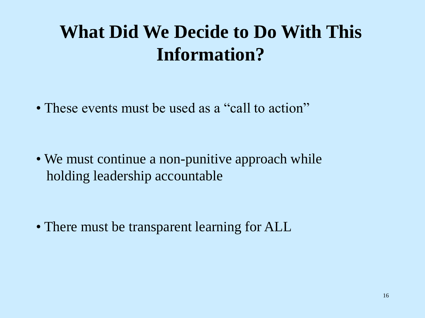### **What Did We Decide to Do With This Information?**

• These events must be used as a "call to action"

• We must continue a non-punitive approach while holding leadership accountable

• There must be transparent learning for ALL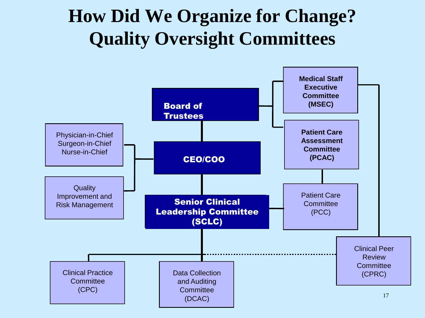### **How Did We Organize for Change? Quality Oversight Committees**

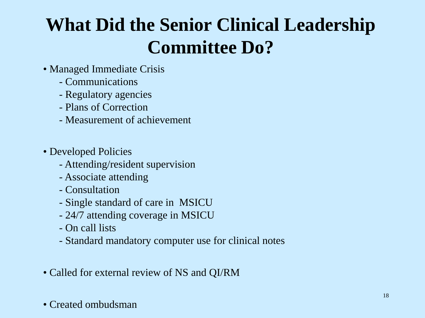## **What Did the Senior Clinical Leadership Committee Do?**

- Managed Immediate Crisis
	- Communications
	- Regulatory agencies
	- Plans of Correction
	- Measurement of achievement
- Developed Policies
	- Attending/resident supervision
	- Associate attending
	- Consultation
	- Single standard of care in MSICU
	- 24/7 attending coverage in MSICU
	- On call lists
	- Standard mandatory computer use for clinical notes
- Called for external review of NS and QI/RM

### • Created ombudsman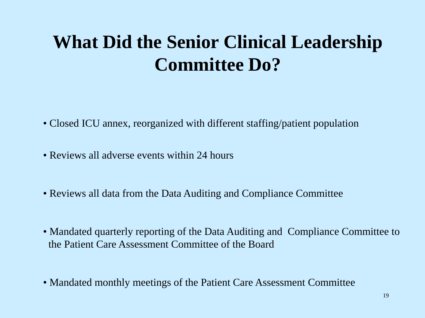## **What Did the Senior Clinical Leadership Committee Do?**

- Closed ICU annex, reorganized with different staffing/patient population
- Reviews all adverse events within 24 hours
- Reviews all data from the Data Auditing and Compliance Committee
- Mandated quarterly reporting of the Data Auditing and Compliance Committee to the Patient Care Assessment Committee of the Board
- Mandated monthly meetings of the Patient Care Assessment Committee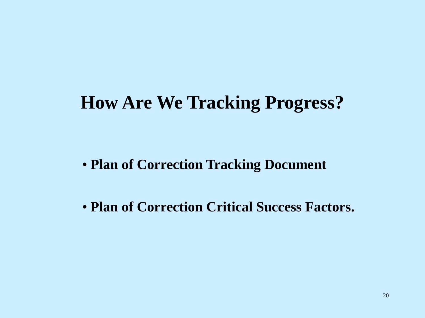### **How Are We Tracking Progress?**

- **Plan of Correction Tracking Document**
- **Plan of Correction Critical Success Factors.**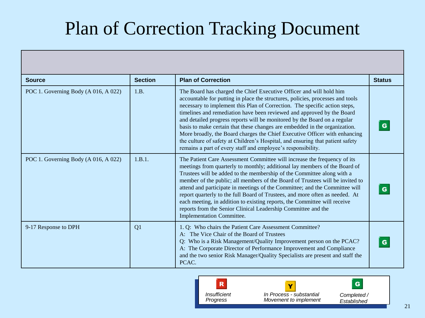## Plan of Correction Tracking Document

| <b>Source</b>                        | <b>Section</b> | <b>Plan of Correction</b>                                                                                                                                                                                                                                                                                                                                                                                                                                                                                                                                                                                                                                                                                | <b>Status</b> |
|--------------------------------------|----------------|----------------------------------------------------------------------------------------------------------------------------------------------------------------------------------------------------------------------------------------------------------------------------------------------------------------------------------------------------------------------------------------------------------------------------------------------------------------------------------------------------------------------------------------------------------------------------------------------------------------------------------------------------------------------------------------------------------|---------------|
| POC 1. Governing Body (A 016, A 022) | 1.B.           | The Board has charged the Chief Executive Officer and will hold him<br>accountable for putting in place the structures, policies, processes and tools<br>necessary to implement this Plan of Correction. The specific action steps,<br>timelines and remediation have been reviewed and approved by the Board<br>and detailed progress reports will be monitored by the Board on a regular<br>basis to make certain that these changes are embedded in the organization.<br>More broadly, the Board charges the Chief Executive Officer with enhancing<br>the culture of safety at Children's Hospital, and ensuring that patient safety<br>remains a part of every staff and employee's responsibility. |               |
| POC 1. Governing Body (A 016, A 022) | 1.B.1.         | The Patient Care Assessment Committee will increase the frequency of its<br>meetings from quarterly to monthly; additional lay members of the Board of<br>Trustees will be added to the membership of the Committee along with a<br>member of the public; all members of the Board of Trustees will be invited to<br>attend and participate in meetings of the Committee; and the Committee will<br>report quarterly to the full Board of Trustees, and more often as needed. At<br>each meeting, in addition to existing reports, the Committee will receive<br>reports from the Senior Clinical Leadership Committee and the<br><b>Implementation Committee.</b>                                       |               |
| 9-17 Response to DPH                 | Q1             | 1. Q: Who chairs the Patient Care Assessment Committee?<br>A: The Vice Chair of the Board of Trustees<br>Q: Who is a Risk Management/Quality Improvement person on the PCAC?<br>A: The Corporate Director of Performance Improvement and Compliance<br>and the two senior Risk Manager/Quality Specialists are present and staff the<br>PCAC.                                                                                                                                                                                                                                                                                                                                                            |               |



*Completed / 3rd Tier Execution Established* 21

 $\vert$  G  $\vert$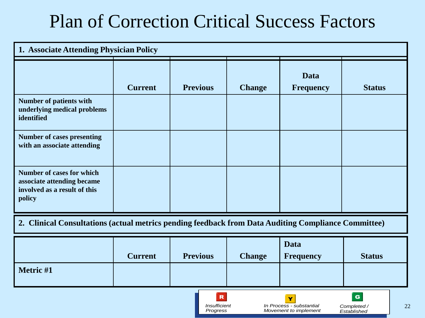### Plan of Correction Critical Success Factors

| 1. Associate Attending Physician Policy                                                                  |                |                 |               |                                 |               |
|----------------------------------------------------------------------------------------------------------|----------------|-----------------|---------------|---------------------------------|---------------|
|                                                                                                          | <b>Current</b> | <b>Previous</b> | <b>Change</b> | <b>Data</b><br><b>Frequency</b> | <b>Status</b> |
| <b>Number of patients with</b><br>underlying medical problems<br>identified                              |                |                 |               |                                 |               |
| <b>Number of cases presenting</b><br>with an associate attending                                         |                |                 |               |                                 |               |
| <b>Number of cases for which</b><br>associate attending became<br>involved as a result of this<br>policy |                |                 |               |                                 |               |
| 2. Clinical Consultations (actual metrics pending feedback from Data Auditing Compliance Committee)      |                |                 |               |                                 |               |

|           | <b>Current</b> | <b>Previous</b> | <b>Change</b> | <b>Data</b><br><b>Frequency</b> | <b>Status</b> |  |
|-----------|----------------|-----------------|---------------|---------------------------------|---------------|--|
| Metric #1 |                |                 |               |                                 |               |  |
|           |                | $\mathbf R$     |               | Y                               | $\mathbf G$   |  |

*Highest Priority - Insufficient Execute Immediately Progress* *Moderate Priority - In Process - substantial 2nd Tier Execution Movement to implement* *Lower Priority - Completed /*   $Established$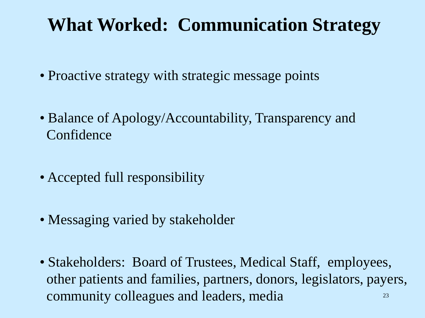### **What Worked: Communication Strategy**

- Proactive strategy with strategic message points
- Balance of Apology/Accountability, Transparency and Confidence
- Accepted full responsibility
- Messaging varied by stakeholder
- 23 • Stakeholders: Board of Trustees, Medical Staff, employees, other patients and families, partners, donors, legislators, payers, community colleagues and leaders, media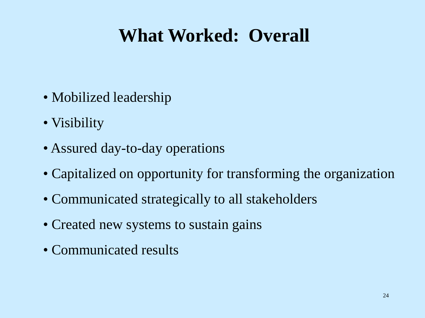### **What Worked: Overall**

- Mobilized leadership
- Visibility
- Assured day-to-day operations
- Capitalized on opportunity for transforming the organization
- Communicated strategically to all stakeholders
- Created new systems to sustain gains
- Communicated results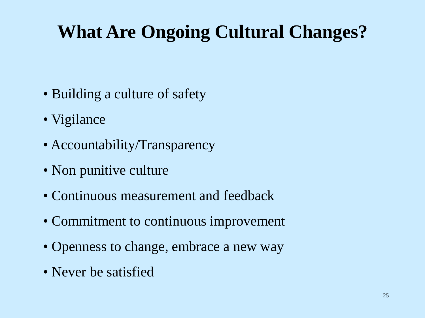## **What Are Ongoing Cultural Changes?**

- Building a culture of safety
- Vigilance
- Accountability/Transparency
- Non punitive culture
- Continuous measurement and feedback
- Commitment to continuous improvement
- Openness to change, embrace a new way
- Never be satisfied